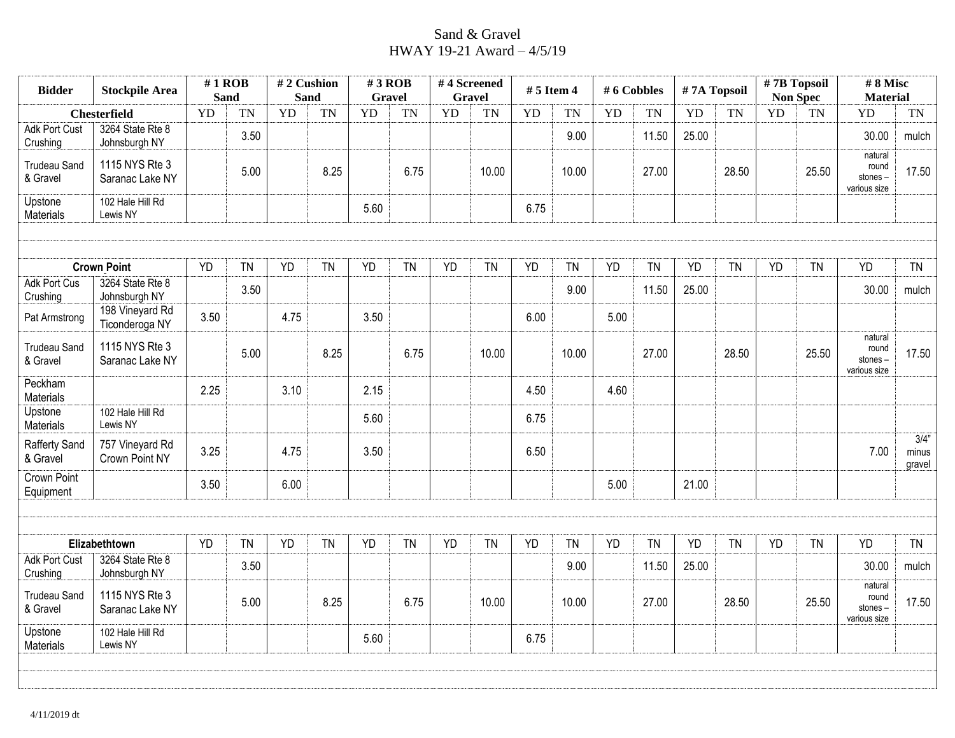## Sand & Gravel HWAY 19-21 Award – 4/5/19

| <b>Bidder</b>                    | <b>Stockpile Area</b>             |           | $#1$ ROB<br><b>Sand</b> |           | #2 Cushion<br><b>Sand</b> | $#3$ ROB<br><b>Gravel</b> |           |           | #4 Screened<br><b>Gravel</b> | $# 5$ Item 4 |           | # 6 Cobbles |           | #7A Topsoil |           |           | #7B Topsoil<br><b>Non Spec</b> | #8 Misc<br><b>Material</b>                  |                         |
|----------------------------------|-----------------------------------|-----------|-------------------------|-----------|---------------------------|---------------------------|-----------|-----------|------------------------------|--------------|-----------|-------------|-----------|-------------|-----------|-----------|--------------------------------|---------------------------------------------|-------------------------|
|                                  | <b>Chesterfield</b>               | <b>YD</b> | <b>TN</b>               | <b>YD</b> | <b>TN</b>                 | YD                        | <b>TN</b> | <b>YD</b> | <b>TN</b>                    | <b>YD</b>    | <b>TN</b> | YD          | <b>TN</b> | YD          | <b>TN</b> | <b>YD</b> | <b>TN</b>                      | <b>YD</b>                                   | TN                      |
| <b>Adk Port Cust</b><br>Crushing | 3264 State Rte 8<br>Johnsburgh NY |           | 3.50                    |           |                           |                           |           |           |                              |              | 9.00      |             | 11.50     | 25.00       |           |           |                                | 30.00                                       | mulch                   |
| <b>Trudeau Sand</b><br>& Gravel  | 1115 NYS Rte 3<br>Saranac Lake NY |           | 5.00                    |           | 8.25                      |                           | 6.75      |           | 10.00                        |              | 10.00     |             | 27.00     |             | 28.50     |           | 25.50                          | natural<br>round<br>stones-<br>various size | 17.50                   |
| Upstone<br>Materials             | 102 Hale Hill Rd<br>Lewis NY      |           |                         |           |                           | 5.60                      |           |           |                              | 6.75         |           |             |           |             |           |           |                                |                                             |                         |
|                                  |                                   |           |                         |           |                           |                           |           |           |                              |              |           |             |           |             |           |           |                                |                                             |                         |
|                                  | <b>Crown Point</b>                | <b>YD</b> | <b>TN</b>               | <b>YD</b> | <b>TN</b>                 | <b>YD</b>                 | <b>TN</b> | <b>YD</b> | <b>TN</b>                    | <b>YD</b>    | <b>TN</b> | YD          | <b>TN</b> | <b>YD</b>   | <b>TN</b> | <b>YD</b> | <b>TN</b>                      | <b>YD</b>                                   | <b>TN</b>               |
| Adk Port Cus<br>Crushing         | 3264 State Rte 8<br>Johnsburgh NY |           | 3.50                    |           |                           |                           |           |           |                              |              | 9.00      |             | 11.50     | 25.00       |           |           |                                | 30.00                                       | mulch                   |
| Pat Armstrong                    | 198 Vineyard Rd<br>Ticonderoga NY | 3.50      |                         | 4.75      |                           | 3.50                      |           |           |                              | 6.00         |           | 5.00        |           |             |           |           |                                |                                             |                         |
| <b>Trudeau Sand</b><br>& Gravel  | 1115 NYS Rte 3<br>Saranac Lake NY |           | 5.00                    |           | 8.25                      |                           | 6.75      |           | 10.00                        |              | 10.00     |             | 27.00     |             | 28.50     |           | 25.50                          | natural<br>round<br>stones-<br>various size | 17.50                   |
| Peckham<br>Materials             |                                   | 2.25      |                         | 3.10      |                           | 2.15                      |           |           |                              | 4.50         |           | 4.60        |           |             |           |           |                                |                                             |                         |
| Upstone<br>Materials             | 102 Hale Hill Rd<br>Lewis NY      |           |                         |           |                           | 5.60                      |           |           |                              | 6.75         |           |             |           |             |           |           |                                |                                             |                         |
| Rafferty Sand<br>& Gravel        | 757 Vineyard Rd<br>Crown Point NY | 3.25      |                         | 4.75      |                           | 3.50                      |           |           |                              | 6.50         |           |             |           |             |           |           |                                | 7.00                                        | 3/4"<br>minus<br>gravel |
| <b>Crown Point</b><br>Equipment  |                                   | 3.50      |                         | 6.00      |                           |                           |           |           |                              |              |           | 5.00        |           | 21.00       |           |           |                                |                                             |                         |
|                                  |                                   |           |                         |           |                           |                           |           |           |                              |              |           |             |           |             |           |           |                                |                                             |                         |
|                                  | Elizabethtown                     | <b>YD</b> | <b>TN</b>               | <b>YD</b> | <b>TN</b>                 | <b>YD</b>                 | <b>TN</b> | <b>YD</b> | <b>TN</b>                    | <b>YD</b>    | <b>TN</b> | <b>YD</b>   | <b>TN</b> | <b>YD</b>   | <b>TN</b> | <b>YD</b> | <b>TN</b>                      | <b>YD</b>                                   | <b>TN</b>               |
| <b>Adk Port Cust</b><br>Crushing | 3264 State Rte 8<br>Johnsburgh NY |           | 3.50                    |           |                           |                           |           |           |                              |              | 9.00      |             | 11.50     | 25.00       |           |           |                                | 30.00                                       | mulch                   |
| <b>Trudeau Sand</b><br>& Gravel  | 1115 NYS Rte 3<br>Saranac Lake NY |           | 5.00                    |           | 8.25                      |                           | 6.75      |           | 10.00                        |              | 10.00     |             | 27.00     |             | 28.50     |           | 25.50                          | natural<br>round<br>stones-<br>various size | 17.50                   |
| Upstone<br>Materials             | 102 Hale Hill Rd<br>Lewis NY      |           |                         |           |                           | 5.60                      |           |           |                              | 6.75         |           |             |           |             |           |           |                                |                                             |                         |
|                                  |                                   |           |                         |           |                           |                           |           |           |                              |              |           |             |           |             |           |           |                                |                                             |                         |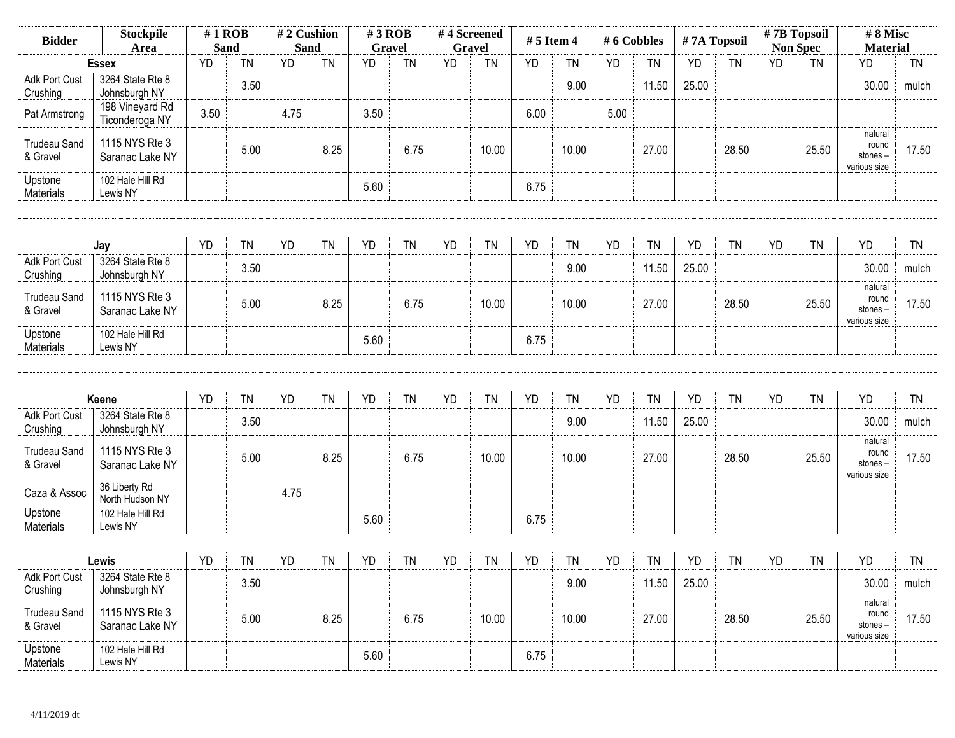| <b>Bidder</b>                    | <b>Stockpile</b><br>Area          |           | $#1$ ROB<br><b>Sand</b> | #2 Cushion<br><b>Sand</b> |           | #3 ROB<br><b>Gravel</b> |           |           | #4 Screened<br><b>Gravel</b> | $# 5$ Item 4 |           | #6 Cobbles |           | #7A Topsoil |           | #7B Topsoil | <b>Non Spec</b> | #8 Misc<br><b>Material</b>                  |           |
|----------------------------------|-----------------------------------|-----------|-------------------------|---------------------------|-----------|-------------------------|-----------|-----------|------------------------------|--------------|-----------|------------|-----------|-------------|-----------|-------------|-----------------|---------------------------------------------|-----------|
|                                  | <b>Essex</b>                      | <b>YD</b> | <b>TN</b>               | <b>YD</b>                 | TN        | <b>YD</b>               | <b>TN</b> | <b>YD</b> | <b>TN</b>                    | YD           | <b>TN</b> | YD         | <b>TN</b> | <b>YD</b>   | <b>TN</b> | <b>YD</b>   | <b>TN</b>       | YD                                          | <b>TN</b> |
| <b>Adk Port Cust</b><br>Crushing | 3264 State Rte 8<br>Johnsburgh NY |           | 3.50                    |                           |           |                         |           |           |                              |              | 9.00      |            | 11.50     | 25.00       |           |             |                 | 30.00                                       | mulch     |
| Pat Armstrong                    | 198 Vineyard Rd<br>Ticonderoga NY | 3.50      |                         | 4.75                      |           | 3.50                    |           |           |                              | 6.00         |           | 5.00       |           |             |           |             |                 |                                             |           |
| <b>Trudeau Sand</b><br>& Gravel  | 1115 NYS Rte 3<br>Saranac Lake NY |           | 5.00                    |                           | 8.25      |                         | 6.75      |           | 10.00                        |              | 10.00     |            | 27.00     |             | 28.50     |             | 25.50           | natural<br>round<br>stones-<br>various size | 17.50     |
| Upstone<br>Materials             | 102 Hale Hill Rd<br>Lewis NY      |           |                         |                           |           | 5.60                    |           |           |                              | 6.75         |           |            |           |             |           |             |                 |                                             |           |
|                                  |                                   |           |                         |                           |           |                         |           |           |                              |              |           |            |           |             |           |             |                 |                                             |           |
|                                  | Jay                               | <b>YD</b> | <b>TN</b>               | YD                        | TN        | <b>YD</b>               | <b>TN</b> | YD        | <b>TN</b>                    | <b>YD</b>    | TN        | <b>YD</b>  | <b>TN</b> | <b>YD</b>   | <b>TN</b> | <b>YD</b>   | <b>TN</b>       | <b>YD</b>                                   | <b>TN</b> |
| <b>Adk Port Cust</b><br>Crushing | 3264 State Rte 8<br>Johnsburgh NY |           | 3.50                    |                           |           |                         |           |           |                              |              | 9.00      |            | 11.50     | 25.00       |           |             |                 | 30.00                                       | mulch     |
| <b>Trudeau Sand</b><br>& Gravel  | 1115 NYS Rte 3<br>Saranac Lake NY |           | 5.00                    |                           | 8.25      |                         | 6.75      |           | 10.00                        |              | 10.00     |            | 27.00     |             | 28.50     |             | 25.50           | natural<br>round<br>stones-<br>various size | 17.50     |
| Upstone<br>Materials             | 102 Hale Hill Rd<br>Lewis NY      |           |                         |                           |           | 5.60                    |           |           |                              | 6.75         |           |            |           |             |           |             |                 |                                             |           |
|                                  |                                   |           |                         |                           |           |                         |           |           |                              |              |           |            |           |             |           |             |                 |                                             |           |
|                                  | Keene                             | <b>YD</b> | <b>TN</b>               | YD                        | <b>TN</b> | <b>YD</b>               | <b>TN</b> | <b>YD</b> | <b>TN</b>                    | <b>YD</b>    | <b>TN</b> | YD         | <b>TN</b> | YD          | <b>TN</b> | <b>YD</b>   | <b>TN</b>       | <b>YD</b>                                   | <b>TN</b> |
| <b>Adk Port Cust</b><br>Crushing | 3264 State Rte 8<br>Johnsburgh NY |           | 3.50                    |                           |           |                         |           |           |                              |              | 9.00      |            | 11.50     | 25.00       |           |             |                 | 30.00                                       | mulch     |
| <b>Trudeau Sand</b><br>& Gravel  | 1115 NYS Rte 3<br>Saranac Lake NY |           | 5.00                    |                           | 8.25      |                         | 6.75      |           | 10.00                        |              | 10.00     |            | 27.00     |             | 28.50     |             | 25.50           | natural<br>round<br>stones-<br>various size | 17.50     |
| Caza & Assoc                     | 36 Liberty Rd<br>North Hudson NY  |           |                         | 4.75                      |           |                         |           |           |                              |              |           |            |           |             |           |             |                 |                                             |           |
| Upstone<br>Materials             | 102 Hale Hill Rd<br>Lewis NY      |           |                         |                           |           | 5.60                    |           |           |                              | 6.75         |           |            |           |             |           |             |                 |                                             |           |
|                                  |                                   |           |                         |                           |           |                         |           |           |                              |              |           |            |           |             |           |             |                 |                                             |           |
|                                  | Lewis                             | YD        | <b>TN</b>               | YD                        | <b>TN</b> | YD                      | TN        | YD        | <b>TN</b>                    | YD           | <b>TN</b> | YD         | <b>TN</b> | YD          | <b>TN</b> | YD          | <b>TN</b>       | YD                                          | <b>TN</b> |
| Adk Port Cust<br>Crushing        | 3264 State Rte 8<br>Johnsburgh NY |           | 3.50                    |                           |           |                         |           |           |                              |              | 9.00      |            | 11.50     | 25.00       |           |             |                 | 30.00                                       | mulch     |
| <b>Trudeau Sand</b><br>& Gravel  | 1115 NYS Rte 3<br>Saranac Lake NY |           | 5.00                    |                           | 8.25      |                         | 6.75      |           | 10.00                        |              | 10.00     |            | 27.00     |             | 28.50     |             | 25.50           | natural<br>round<br>stones-<br>various size | 17.50     |
| Upstone<br>Materials             | 102 Hale Hill Rd<br>Lewis NY      |           |                         |                           |           | 5.60                    |           |           |                              | 6.75         |           |            |           |             |           |             |                 |                                             |           |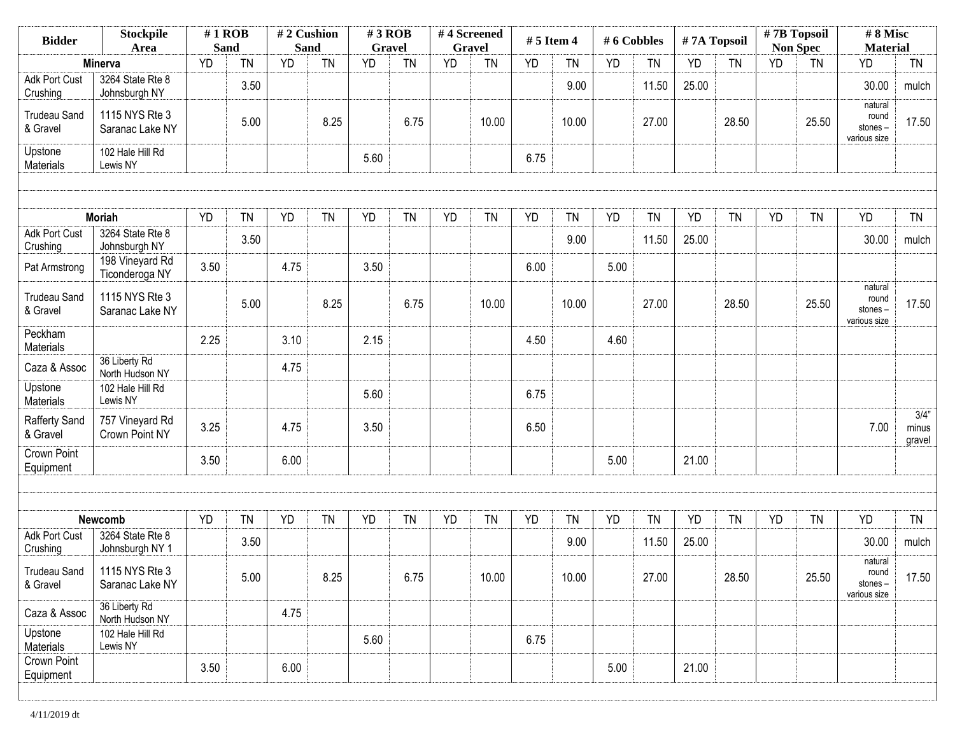| <b>Stockpile</b><br><b>Bidder</b><br>Area |                                     | $#1$ ROB<br><b>Sand</b> |           | #2 Cushion<br><b>Sand</b> |           | $#3$ ROB<br><b>Gravel</b> |           | #4 Screened<br><b>Gravel</b> |           | # 5 Item 4 |           | # 6 Cobbles |           | #7A Topsoil |           | #7B Topsoil<br><b>Non Spec</b> |           | #8 Misc<br><b>Material</b>                  |                            |
|-------------------------------------------|-------------------------------------|-------------------------|-----------|---------------------------|-----------|---------------------------|-----------|------------------------------|-----------|------------|-----------|-------------|-----------|-------------|-----------|--------------------------------|-----------|---------------------------------------------|----------------------------|
|                                           | Minerva                             | <b>YD</b>               | <b>TN</b> | <b>YD</b>                 | <b>TN</b> | <b>YD</b>                 | <b>TN</b> | <b>YD</b>                    | <b>TN</b> | <b>YD</b>  | <b>TN</b> | YD          | <b>TN</b> | YD          | <b>TN</b> | <b>YD</b>                      | <b>TN</b> | <b>YD</b>                                   | <b>TN</b>                  |
| <b>Adk Port Cust</b><br>Crushing          | 3264 State Rte 8<br>Johnsburgh NY   |                         | 3.50      |                           |           |                           |           |                              |           |            | 9.00      |             | 11.50     | 25.00       |           |                                |           | 30.00                                       | mulch                      |
| <b>Trudeau Sand</b><br>& Gravel           | 1115 NYS Rte 3<br>Saranac Lake NY   |                         | 5.00      |                           | 8.25      |                           | 6.75      |                              | 10.00     |            | 10.00     |             | 27.00     |             | 28.50     |                                | 25.50     | natural<br>round<br>stones-<br>various size | 17.50                      |
| Upstone<br>Materials                      | 102 Hale Hill Rd<br>Lewis NY        |                         |           |                           |           | 5.60                      |           |                              |           | 6.75       |           |             |           |             |           |                                |           |                                             |                            |
|                                           |                                     |                         |           |                           |           |                           |           |                              |           |            |           |             |           |             |           |                                |           |                                             |                            |
|                                           | <b>Moriah</b>                       | <b>YD</b>               | TN        | <b>YD</b>                 | <b>TN</b> | <b>YD</b>                 | <b>TN</b> | <b>YD</b>                    | <b>TN</b> | <b>YD</b>  | <b>TN</b> | <b>YD</b>   | <b>TN</b> | <b>YD</b>   | <b>TN</b> | <b>YD</b>                      | <b>TN</b> | YD                                          | <b>TN</b>                  |
| Adk Port Cust<br>Crushing                 | 3264 State Rte 8<br>Johnsburgh NY   |                         | 3.50      |                           |           |                           |           |                              |           |            | 9.00      |             | 11.50     | 25.00       |           |                                |           | 30.00                                       | mulch                      |
| Pat Armstrong                             | 198 Vineyard Rd<br>Ticonderoga NY   | 3.50                    |           | 4.75                      |           | 3.50                      |           |                              |           | 6.00       |           | 5.00        |           |             |           |                                |           |                                             |                            |
| <b>Trudeau Sand</b><br>& Gravel           | 1115 NYS Rte 3<br>Saranac Lake NY   |                         | 5.00      |                           | 8.25      |                           | 6.75      |                              | 10.00     |            | 10.00     |             | 27.00     |             | 28.50     |                                | 25.50     | natural<br>round<br>stones-<br>various size | 17.50                      |
| Peckham<br>Materials                      |                                     | 2.25                    |           | 3.10                      |           | 2.15                      |           |                              |           | 4.50       |           | 4.60        |           |             |           |                                |           |                                             |                            |
| Caza & Assoc                              | 36 Liberty Rd<br>North Hudson NY    |                         |           | 4.75                      |           |                           |           |                              |           |            |           |             |           |             |           |                                |           |                                             |                            |
| Upstone<br>Materials                      | 102 Hale Hill Rd<br>Lewis NY        |                         |           |                           |           | 5.60                      |           |                              |           | 6.75       |           |             |           |             |           |                                |           |                                             |                            |
| <b>Rafferty Sand</b><br>& Gravel          | 757 Vineyard Rd<br>Crown Point NY   | 3.25                    |           | 4.75                      |           | 3.50                      |           |                              |           | 6.50       |           |             |           |             |           |                                |           | 7.00                                        | $3/4$ "<br>minus<br>gravel |
| Crown Point<br>Equipment                  |                                     | 3.50                    |           | 6.00                      |           |                           |           |                              |           |            |           | 5.00        |           | 21.00       |           |                                |           |                                             |                            |
|                                           |                                     |                         |           |                           |           |                           |           |                              |           |            |           |             |           |             |           |                                |           |                                             |                            |
|                                           | Newcomb                             | <b>YD</b>               | TN        | <b>YD</b>                 | <b>TN</b> | <b>YD</b>                 | <b>TN</b> | YD                           | <b>TN</b> | <b>YD</b>  | <b>TN</b> | YD          | <b>TN</b> | YD          | <b>TN</b> | <b>YD</b>                      | <b>TN</b> | YD                                          | <b>TN</b>                  |
| <b>Adk Port Cust</b><br>Crushing          | 3264 State Rte 8<br>Johnsburgh NY 1 |                         | 3.50      |                           |           |                           |           |                              |           |            | 9.00      |             | 11.50     | 25.00       |           |                                |           | 30.00                                       | mulch                      |
| <b>Trudeau Sand</b><br>& Gravel           | 1115 NYS Rte 3<br>Saranac Lake NY   |                         | 5.00      |                           | 8.25      |                           | 6.75      |                              | 10.00     |            | 10.00     |             | 27.00     |             | 28.50     |                                | 25.50     | natural<br>round<br>stones-<br>various size | 17.50                      |
| Caza & Assoc                              | 36 Liberty Rd<br>North Hudson NY    |                         |           | 4.75                      |           |                           |           |                              |           |            |           |             |           |             |           |                                |           |                                             |                            |
| Upstone<br>Materials                      | 102 Hale Hill Rd<br>Lewis NY        |                         |           |                           |           | 5.60                      |           |                              |           | 6.75       |           |             |           |             |           |                                |           |                                             |                            |
| Crown Point<br>Equipment                  |                                     | 3.50                    |           | 6.00                      |           |                           |           |                              |           |            |           | 5.00        |           | 21.00       |           |                                |           |                                             |                            |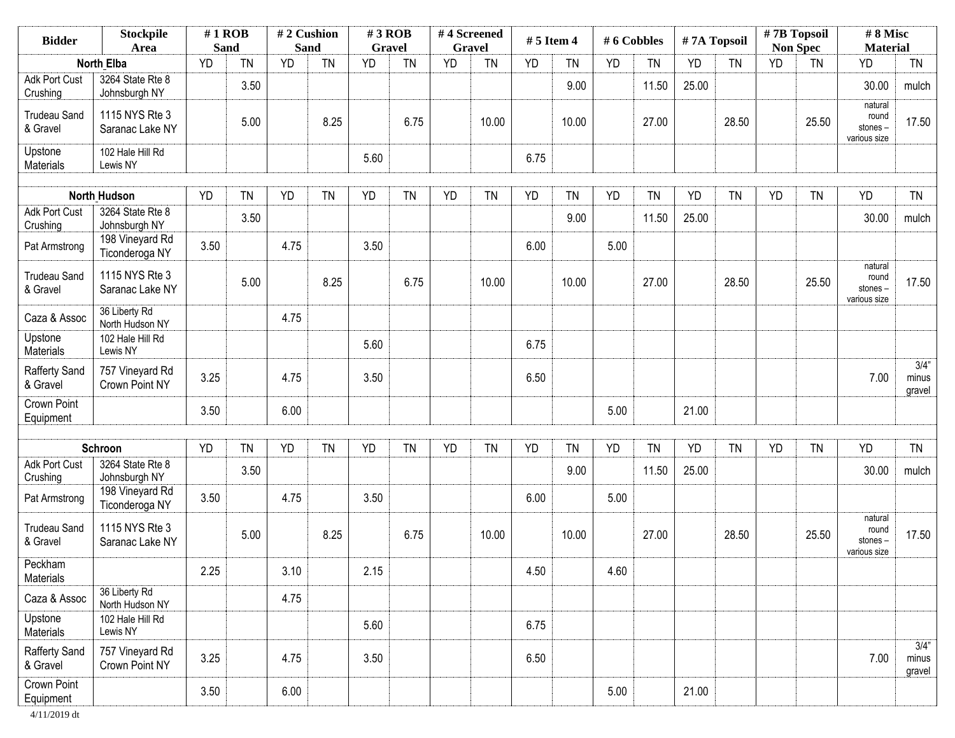| <b>Stockpile</b><br><b>Bidder</b><br>Area |                                   | $#1$ ROB<br><b>Sand</b> |           | #2 Cushion<br>Sand |           | $#3$ ROB<br><b>Gravel</b> |           | #4 Screened | Gravel    | $# 5$ Item 4 |           | #6 Cobbles |           | #7A Topsoil |           |           | $# 7B$ Topsoil<br><b>Non Spec</b> | #8 Misc<br><b>Material</b>                  |                            |
|-------------------------------------------|-----------------------------------|-------------------------|-----------|--------------------|-----------|---------------------------|-----------|-------------|-----------|--------------|-----------|------------|-----------|-------------|-----------|-----------|-----------------------------------|---------------------------------------------|----------------------------|
|                                           | <b>North Elba</b>                 | <b>YD</b>               | <b>TN</b> | <b>YD</b>          | <b>TN</b> | <b>YD</b>                 | <b>TN</b> | <b>YD</b>   | <b>TN</b> | <b>YD</b>    | <b>TN</b> | YD         | <b>TN</b> | <b>YD</b>   | <b>TN</b> | <b>YD</b> | <b>TN</b>                         | <b>YD</b>                                   | <b>TN</b>                  |
| <b>Adk Port Cust</b><br>Crushing          | 3264 State Rte 8<br>Johnsburgh NY |                         | 3.50      |                    |           |                           |           |             |           |              | 9.00      |            | 11.50     | 25.00       |           |           |                                   | 30.00                                       | mulch                      |
| <b>Trudeau Sand</b><br>& Gravel           | 1115 NYS Rte 3<br>Saranac Lake NY |                         | 5.00      |                    | 8.25      |                           | 6.75      |             | 10.00     |              | 10.00     |            | 27.00     |             | 28.50     |           | 25.50                             | natural<br>round<br>stones-<br>various size | 17.50                      |
| Upstone<br>Materials                      | 102 Hale Hill Rd<br>Lewis NY      |                         |           |                    |           | 5.60                      |           |             |           | 6.75         |           |            |           |             |           |           |                                   |                                             |                            |
|                                           | <b>North Hudson</b>               | <b>YD</b>               | <b>TN</b> | <b>YD</b>          | <b>TN</b> | <b>YD</b>                 | <b>TN</b> | <b>YD</b>   | <b>TN</b> | <b>YD</b>    | <b>TN</b> | <b>YD</b>  | <b>TN</b> | <b>YD</b>   | <b>TN</b> | <b>YD</b> | <b>TN</b>                         | <b>YD</b>                                   | <b>TN</b>                  |
| <b>Adk Port Cust</b><br>Crushing          | 3264 State Rte 8<br>Johnsburgh NY |                         | 3.50      |                    |           |                           |           |             |           |              | 9.00      |            | 11.50     | 25.00       |           |           |                                   | 30.00                                       | mulch                      |
| Pat Armstrong                             | 198 Vineyard Rd<br>Ticonderoga NY | 3.50                    |           | 4.75               |           | 3.50                      |           |             |           | 6.00         |           | 5.00       |           |             |           |           |                                   |                                             |                            |
| <b>Trudeau Sand</b><br>& Gravel           | 1115 NYS Rte 3<br>Saranac Lake NY |                         | 5.00      |                    | 8.25      |                           | 6.75      |             | 10.00     |              | 10.00     |            | 27.00     |             | 28.50     |           | 25.50                             | natural<br>round<br>stones-<br>various size | 17.50                      |
| Caza & Assoc                              | 36 Liberty Rd<br>North Hudson NY  |                         |           | 4.75               |           |                           |           |             |           |              |           |            |           |             |           |           |                                   |                                             |                            |
| Upstone<br>Materials                      | 102 Hale Hill Rd<br>Lewis NY      |                         |           |                    |           | 5.60                      |           |             |           | 6.75         |           |            |           |             |           |           |                                   |                                             |                            |
| Rafferty Sand<br>& Gravel                 | 757 Vineyard Rd<br>Crown Point NY | 3.25                    |           | 4.75               |           | 3.50                      |           |             |           | 6.50         |           |            |           |             |           |           |                                   | 7.00                                        | $3/4$ "<br>minus<br>gravel |
| Crown Point<br>Equipment                  |                                   | 3.50                    |           | 6.00               |           |                           |           |             |           |              |           | 5.00       |           | 21.00       |           |           |                                   |                                             |                            |
|                                           | Schroon                           | <b>YD</b>               | <b>TN</b> | <b>YD</b>          | <b>TN</b> | YD                        | <b>TN</b> | <b>YD</b>   | <b>TN</b> | <b>YD</b>    | <b>TN</b> | YD         | <b>TN</b> | <b>YD</b>   | <b>TN</b> | YD        | <b>TN</b>                         | <b>YD</b>                                   | <b>TN</b>                  |
| Adk Port Cust<br>Crushing                 | 3264 State Rte 8<br>Johnsburgh NY |                         | 3.50      |                    |           |                           |           |             |           |              | 9.00      |            | 11.50     | 25.00       |           |           |                                   | 30.00                                       | mulch                      |
| Pat Armstrong                             | 198 Vineyard Rd<br>Ticonderoga NY | 3.50                    |           | 4.75               |           | 3.50                      |           |             |           | 6.00         |           | 5.00       |           |             |           |           |                                   |                                             |                            |
| <b>Trudeau Sand</b><br>& Gravel           | 1115 NYS Rte 3<br>Saranac Lake NY |                         | 5.00      |                    | 8.25      |                           | 6.75      |             | 10.00     |              | 10.00     |            | 27.00     |             | 28.50     |           | 25.50                             | natural<br>round<br>stones-<br>various size | 17.50                      |
| Peckham<br>Materials                      |                                   | 2.25                    |           | 3.10               |           | 2.15                      |           |             |           | 4.50         |           | 4.60       |           |             |           |           |                                   |                                             |                            |
| Caza & Assoc                              | 36 Liberty Rd<br>North Hudson NY  |                         |           | 4.75               |           |                           |           |             |           |              |           |            |           |             |           |           |                                   |                                             |                            |
| Upstone<br>Materials                      | 102 Hale Hill Rd<br>Lewis NY      |                         |           |                    |           | 5.60                      |           |             |           | 6.75         |           |            |           |             |           |           |                                   |                                             |                            |
| <b>Rafferty Sand</b><br>& Gravel          | 757 Vineyard Rd<br>Crown Point NY | 3.25                    |           | 4.75               |           | 3.50                      |           |             |           | 6.50         |           |            |           |             |           |           |                                   | 7.00                                        | 3/4"<br>minus<br>gravel    |
| Crown Point<br>Equipment                  |                                   | 3.50                    |           | 6.00               |           |                           |           |             |           |              |           | 5.00       |           | 21.00       |           |           |                                   |                                             |                            |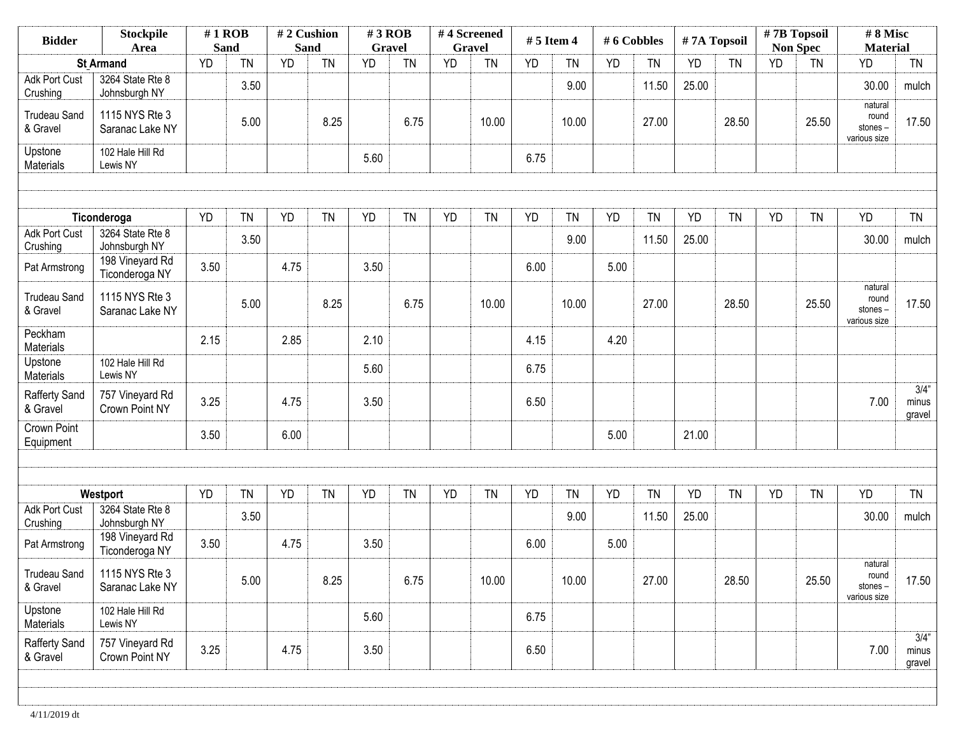| <b>Stockpile</b><br><b>Bidder</b><br>Area |                                   | $#1$ ROB<br><b>Sand</b> |           | #2 Cushion<br><b>Sand</b> |           | $#3$ ROB<br><b>Gravel</b> |           | #4 Screened | <b>Gravel</b> | # 5 Item 4 |           | # 6 Cobbles |           | #7A Topsoil |           | #7B Topsoil<br><b>Non Spec</b> |           | #8 Misc<br><b>Material</b>                  |                            |
|-------------------------------------------|-----------------------------------|-------------------------|-----------|---------------------------|-----------|---------------------------|-----------|-------------|---------------|------------|-----------|-------------|-----------|-------------|-----------|--------------------------------|-----------|---------------------------------------------|----------------------------|
|                                           | <b>St Armand</b>                  | <b>YD</b>               | <b>TN</b> | <b>YD</b>                 | <b>TN</b> | <b>YD</b>                 | <b>TN</b> | <b>YD</b>   | <b>TN</b>     | <b>YD</b>  | <b>TN</b> | YD          | <b>TN</b> | <b>YD</b>   | <b>TN</b> | <b>YD</b>                      | <b>TN</b> | <b>YD</b>                                   | <b>TN</b>                  |
| Adk Port Cust<br>Crushing                 | 3264 State Rte 8<br>Johnsburgh NY |                         | 3.50      |                           |           |                           |           |             |               |            | 9.00      |             | 11.50     | 25.00       |           |                                |           | 30.00                                       | mulch                      |
| <b>Trudeau Sand</b><br>& Gravel           | 1115 NYS Rte 3<br>Saranac Lake NY |                         | 5.00      |                           | 8.25      |                           | 6.75      |             | 10.00         |            | 10.00     |             | 27.00     |             | 28.50     |                                | 25.50     | natural<br>round<br>stones-<br>various size | 17.50                      |
| Upstone<br>Materials                      | 102 Hale Hill Rd<br>Lewis NY      |                         |           |                           |           | 5.60                      |           |             |               | 6.75       |           |             |           |             |           |                                |           |                                             |                            |
|                                           |                                   |                         |           |                           |           |                           |           |             |               |            |           |             |           |             |           |                                |           |                                             |                            |
|                                           | Ticonderoga                       | <b>YD</b>               | <b>TN</b> | <b>YD</b>                 | <b>TN</b> | <b>YD</b>                 | <b>TN</b> | <b>YD</b>   | <b>TN</b>     | <b>YD</b>  | <b>TN</b> | <b>YD</b>   | <b>TN</b> | <b>YD</b>   | <b>TN</b> | <b>YD</b>                      | <b>TN</b> | <b>YD</b>                                   | <b>TN</b>                  |
| Adk Port Cust<br>Crushing                 | 3264 State Rte 8<br>Johnsburgh NY |                         | 3.50      |                           |           |                           |           |             |               |            | 9.00      |             | 11.50     | 25.00       |           |                                |           | 30.00                                       | mulch                      |
| Pat Armstrong                             | 198 Vineyard Rd<br>Ticonderoga NY | 3.50                    |           | 4.75                      |           | 3.50                      |           |             |               | 6.00       |           | 5.00        |           |             |           |                                |           |                                             |                            |
| <b>Trudeau Sand</b><br>& Gravel           | 1115 NYS Rte 3<br>Saranac Lake NY |                         | 5.00      |                           | 8.25      |                           | 6.75      |             | 10.00         |            | 10.00     |             | 27.00     |             | 28.50     |                                | 25.50     | natural<br>round<br>stones-<br>various size | 17.50                      |
| Peckham<br>Materials                      |                                   | 2.15                    |           | 2.85                      |           | 2.10                      |           |             |               | 4.15       |           | 4.20        |           |             |           |                                |           |                                             |                            |
| Upstone<br>Materials                      | 102 Hale Hill Rd<br>Lewis NY      |                         |           |                           |           | 5.60                      |           |             |               | 6.75       |           |             |           |             |           |                                |           |                                             |                            |
| <b>Rafferty Sand</b><br>& Gravel          | 757 Vineyard Rd<br>Crown Point NY | 3.25                    |           | 4.75                      |           | 3.50                      |           |             |               | 6.50       |           |             |           |             |           |                                |           | 7.00                                        | 3/4"<br>minus<br>gravel    |
| Crown Point<br>Equipment                  |                                   | 3.50                    |           | 6.00                      |           |                           |           |             |               |            |           | 5.00        |           | 21.00       |           |                                |           |                                             |                            |
|                                           |                                   |                         |           |                           |           |                           |           |             |               |            |           |             |           |             |           |                                |           |                                             |                            |
|                                           | Westport                          | <b>YD</b>               | <b>TN</b> | YD                        | <b>TN</b> | <b>YD</b>                 | <b>TN</b> | YD          | <b>TN</b>     | <b>YD</b>  | <b>TN</b> | <b>YD</b>   | <b>TN</b> | <b>YD</b>   | <b>TN</b> | YD                             | <b>TN</b> | <b>YD</b>                                   | <b>TN</b>                  |
| <b>Adk Port Cust</b><br>Crushing          | 3264 State Rte 8<br>Johnsburgh NY |                         | 3.50      |                           |           |                           |           |             |               |            | 9.00      |             | 11.50     | 25.00       |           |                                |           | 30.00                                       | mulch                      |
| Pat Armstrong                             | 198 Vineyard Rd<br>Ticonderoga NY | 3.50                    |           | 4.75                      |           | 3.50                      |           |             |               | 6.00       |           | 5.00        |           |             |           |                                |           |                                             |                            |
| <b>Trudeau Sand</b><br>& Gravel           | 1115 NYS Rte 3<br>Saranac Lake NY |                         | 5.00      |                           | 8.25      |                           | 6.75      |             | 10.00         |            | 10.00     |             | 27.00     |             | 28.50     |                                | 25.50     | natural<br>round<br>stones-<br>various size | 17.50                      |
| Upstone<br>Materials                      | 102 Hale Hill Rd<br>Lewis NY      |                         |           |                           |           | 5.60                      |           |             |               | 6.75       |           |             |           |             |           |                                |           |                                             |                            |
| Rafferty Sand<br>& Gravel                 | 757 Vineyard Rd<br>Crown Point NY | 3.25                    |           | 4.75                      |           | 3.50                      |           |             |               | 6.50       |           |             |           |             |           |                                |           | 7.00                                        | $3/4$ "<br>minus<br>gravel |
|                                           |                                   |                         |           |                           |           |                           |           |             |               |            |           |             |           |             |           |                                |           |                                             |                            |